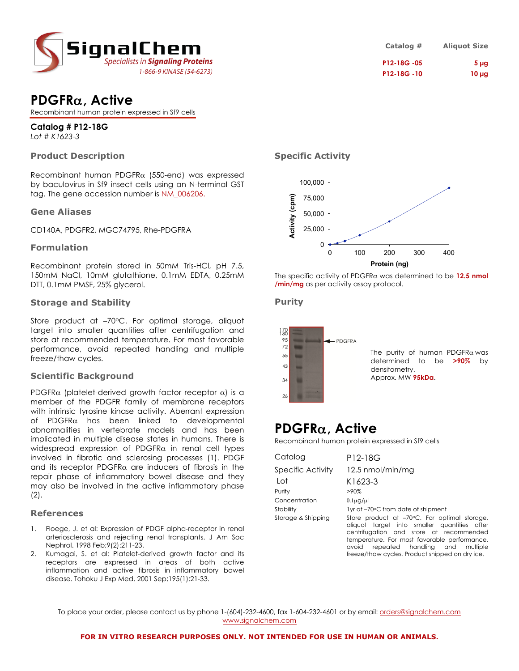

| Catalog #   | <b>Aliquot Size</b> |
|-------------|---------------------|
| P12-18G -05 | 5 <sub>µq</sub>     |
| P12-18G -10 | $10 \mu g$          |

### **PDGFR**α**, Active**

Recombinant human protein expressed in Sf9 cells

### **Catalog # P12-18G**

*Lot # K1623-3*

### **Product Description**

Recombinant human PDGFR $\alpha$  (550-end) was expressed by baculovirus in Sf9 insect cells using an N-terminal GST tag. The gene accession number is NM\_006206.

### **Gene Aliases**

CD140A, PDGFR2, MGC74795, Rhe-PDGFRA

### **Formulation**

Recombinant protein stored in 50mM Tris-HCl, pH 7.5, 150mM NaCl, 10mM glutathione, 0.1mM EDTA, 0.25mM DTT, 0.1mM PMSF, 25% glycerol.

### **Storage and Stability**

Store product at -70°C. For optimal storage, aliquot target into smaller quantities after centrifugation and store at recommended temperature. For most favorable performance, avoid repeated handling and multiple freeze/thaw cycles.

### **Scientific Background**

PDGFR $\alpha$  (platelet-derived growth factor receptor  $\alpha$ ) is a member of the PDGFR family of membrane receptors with intrinsic tyrosine kinase activity. Aberrant expression of PDGFR $\alpha$  has been linked to developmental abnormalities in vertebrate models and has been implicated in multiple disease states in humans. There is widespread expression of PDGFR $\alpha$  in renal cell types involved in fibrotic and sclerosing processes (1). PDGF and its receptor PDGFR $\alpha$  are inducers of fibrosis in the repair phase of inflammatory bowel disease and they may also be involved in the active inflammatory phase (2).

#### **References**

- 1. Floege, J. et al: Expression of PDGF alpha-receptor in renal arteriosclerosis and rejecting renal transplants. J Am Soc Nephrol. 1998 Feb;9(2):211-23.
- 2. Kumagai, S. et al: Platelet-derived growth factor and its receptors are expressed in areas of both active inflammation and active fibrosis in inflammatory bowel disease. Tohoku J Exp Med. 2001 Sep;195(1):21-33.

### **Specific Activity**



The specific activity of PDGFRα was determined to be **12.5 nmol /min/mg** as per activity assay protocol.

### **Purity**



## **PDGFR**α**, Active**

Recombinant human protein expressed in Sf9 cells

| Catalog            | P12-18G                                                                                                                                                                                                                               |
|--------------------|---------------------------------------------------------------------------------------------------------------------------------------------------------------------------------------------------------------------------------------|
| Specific Activity  | 12.5 nmol/min/mg                                                                                                                                                                                                                      |
| Lot                | K1623-3                                                                                                                                                                                                                               |
| Purity             | $>90\%$                                                                                                                                                                                                                               |
| Concentration      | $0.1\mu$ g/µl                                                                                                                                                                                                                         |
| Stability          | 1yr at -70°C from date of shipment                                                                                                                                                                                                    |
| Storage & Shipping | Store product at -70°C. For optimal storage,<br>aliquot target into smaller quantities after<br>centrifugation and store at recommended<br>temperature. For most favorable performance,<br>repeated handling and<br>avoid<br>multiple |

freeze/thaw cycles. Product shipped on dry ice.

To place your order, please contact us by phone 1-(604)-232-4600, fax 1-604-232-4601 or by email: orders@signalchem.com www.signalchem.com